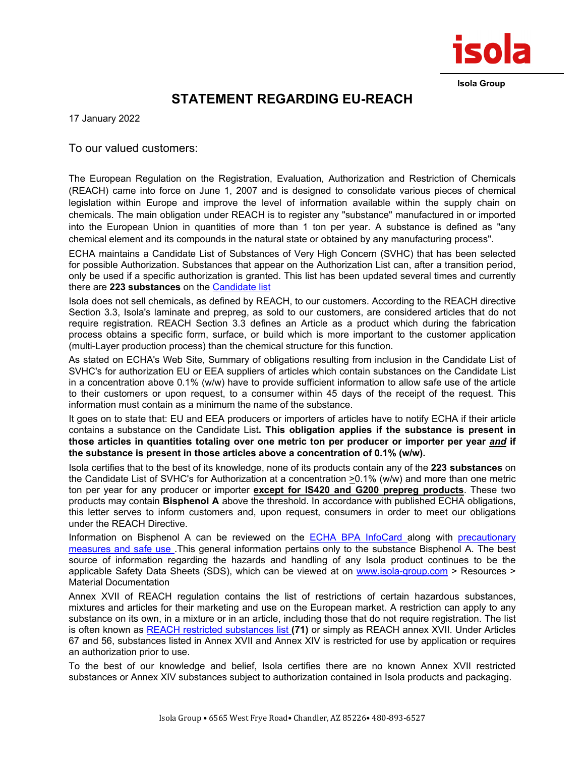

**Isola Group**

## **STATEMENT REGARDING EU-REACH**

17 January 2022

To our valued customers:

The European Regulation on the Registration, Evaluation, Authorization and Restriction of Chemicals (REACH) came into force on June 1, 2007 and is designed to consolidate various pieces of chemical legislation within Europe and improve the level of information available within the supply chain on chemicals. The main obligation under REACH is to register any "substance" manufactured in or imported into the European Union in quantities of more than 1 ton per year. A substance is defined as "any chemical element and its compounds in the natural state or obtained by any manufacturing process".

ECHA maintains a Candidate List of Substances of Very High Concern (SVHC) that has been selected for possible Authorization. Substances that appear on the Authorization List can, after a transition period, only be used if a specific authorization is granted. This list has been updated several times and currently there are **223 substances** on the [Candidate list](http://echa.europa.eu/web/guest/candidate-list-table)

Isola does not sell chemicals, as defined by REACH, to our customers. According to the REACH directive Section 3.3, Isola's laminate and prepreg, as sold to our customers, are considered articles that do not require registration. REACH Section 3.3 defines an Article as a product which during the fabrication process obtains a specific form, surface, or build which is more important to the customer application (multi-Layer production process) than the chemical structure for this function.

As stated on ECHA's Web Site, Summary of obligations resulting from inclusion in the Candidate List of SVHC's for authorization EU or EEA suppliers of articles which contain substances on the Candidate List in a concentration above 0.1% (w/w) have to provide sufficient information to allow safe use of the article to their customers or upon request, to a consumer within 45 days of the receipt of the request. This information must contain as a minimum the name of the substance.

It goes on to state that: EU and EEA producers or importers of articles have to notify ECHA if their article contains a substance on the Candidate List**. This obligation applies if the substance is present in those articles in quantities totaling over one metric ton per producer or importer per year** *and* **if the substance is present in those articles above a concentration of 0.1% (w/w).**

Isola certifies that to the best of its knowledge, none of its products contain any of the **223 substances** on the Candidate List of SVHC's for Authorization at a concentration >0.1% (w/w) and more than one metric ton per year for any producer or importer **except for IS420 and G200 prepreg products**. These two products may contain **Bisphenol A** above the threshold. In accordance with published ECHA obligations, this letter serves to inform customers and, upon request, consumers in order to meet our obligations under the REACH Directive.

Information on Bisphenol A can be reviewed on the [ECHA BPA InfoCard a](https://echa.europa.eu/substance-information/-/substanceinfo/100.001.133)long with [precautionary](https://echa.europa.eu/brief-profile/-/briefprofile/100.001.133#collapseSeven)  [measures and safe use .](https://echa.europa.eu/brief-profile/-/briefprofile/100.001.133#collapseSeven)This general information pertains only to the substance Bisphenol A. The best source of information regarding the hazards and handling of any Isola product continues to be the applicable Safety Data Sheets (SDS), which can be viewed at on [www.isola-group.com](http://www.isola-group.com/) > Resources > Material Documentation

Annex XVII of REACH regulation contains the list of restrictions of certain hazardous substances, mixtures and articles for their marketing and use on the European market. A restriction can apply to any substance on its own, in a mixture or in an article, including those that do not require registration. The list is often known as [REACH restricted substances list](https://echa.europa.eu/substances-restricted-under-reach) **(71)** or simply as REACH annex XVII. Under Articles 67 and 56, substances listed in Annex XVII and Annex XIV is restricted for use by application or requires an authorization prior to use.

To the best of our knowledge and belief, Isola certifies there are no known Annex XVII restricted substances or Annex XIV substances subject to authorization contained in Isola products and packaging.